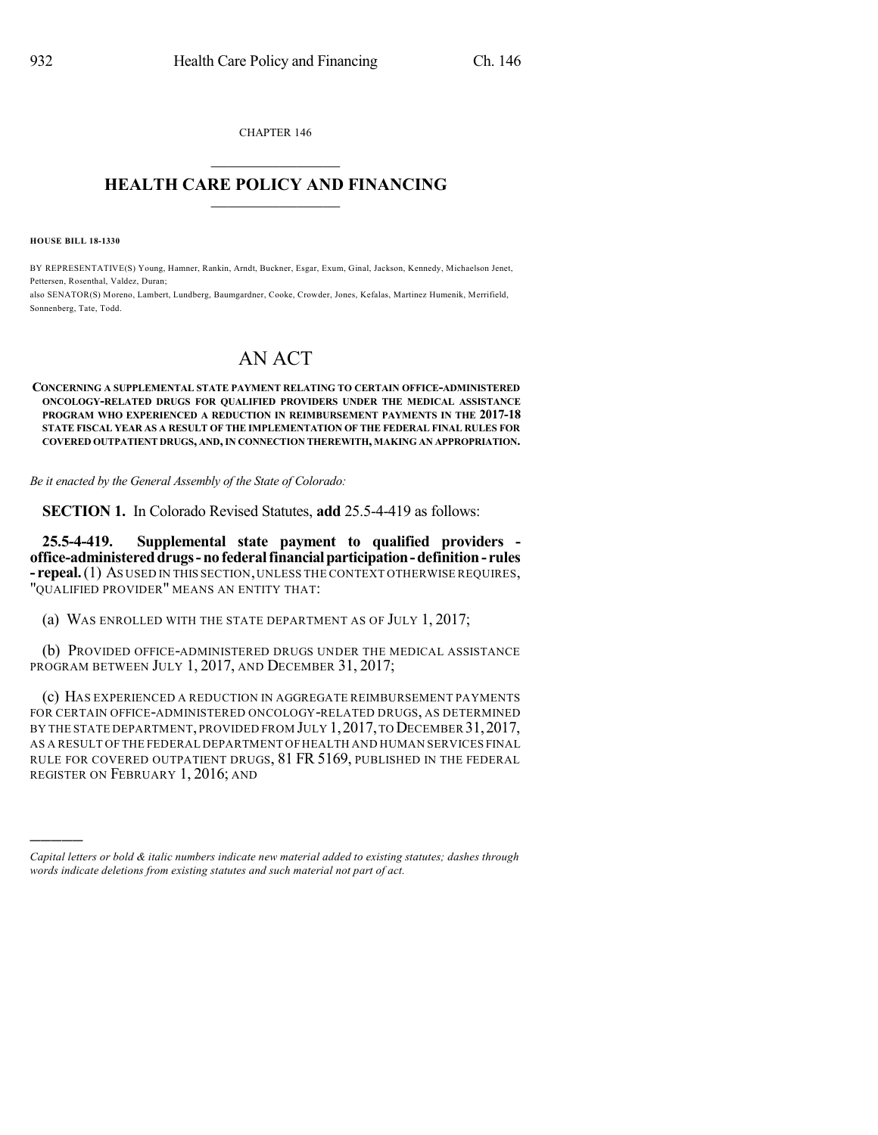CHAPTER 146  $\overline{\phantom{a}}$  . The set of the set of the set of the set of the set of the set of the set of the set of the set of the set of the set of the set of the set of the set of the set of the set of the set of the set of the set o

## **HEALTH CARE POLICY AND FINANCING**  $\_$   $\_$   $\_$   $\_$   $\_$   $\_$   $\_$   $\_$

**HOUSE BILL 18-1330**

)))))

BY REPRESENTATIVE(S) Young, Hamner, Rankin, Arndt, Buckner, Esgar, Exum, Ginal, Jackson, Kennedy, Michaelson Jenet, Pettersen, Rosenthal, Valdez, Duran;

also SENATOR(S) Moreno, Lambert, Lundberg, Baumgardner, Cooke, Crowder, Jones, Kefalas, Martinez Humenik, Merrifield, Sonnenberg, Tate, Todd.

## AN ACT

**CONCERNING A SUPPLEMENTAL STATE PAYMENT RELATING TO CERTAIN OFFICE-ADMINISTERED ONCOLOGY-RELATED DRUGS FOR QUALIFIED PROVIDERS UNDER THE MEDICAL ASSISTANCE PROGRAM WHO EXPERIENCED A REDUCTION IN REIMBURSEMENT PAYMENTS IN THE 2017-18 STATE FISCAL YEAR AS A RESULT OF THE IMPLEMENTATION OF THE FEDERAL FINAL RULES FOR COVERED OUTPATIENT DRUGS, AND,IN CONNECTION THEREWITH, MAKING AN APPROPRIATION.**

*Be it enacted by the General Assembly of the State of Colorado:*

**SECTION 1.** In Colorado Revised Statutes, **add** 25.5-4-419 as follows:

**25.5-4-419. Supplemental state payment to qualified providers office-administereddrugs-nofederalfinancialparticipation-definition- rules - repeal.**(1) AS USED IN THIS SECTION,UNLESS THE CONTEXT OTHERWISE REQUIRES, "QUALIFIED PROVIDER" MEANS AN ENTITY THAT:

(a) WAS ENROLLED WITH THE STATE DEPARTMENT AS OF JULY 1, 2017;

(b) PROVIDED OFFICE-ADMINISTERED DRUGS UNDER THE MEDICAL ASSISTANCE PROGRAM BETWEEN JULY 1, 2017, AND DECEMBER 31, 2017;

(c) HAS EXPERIENCED A REDUCTION IN AGGREGATE REIMBURSEMENT PAYMENTS FOR CERTAIN OFFICE-ADMINISTERED ONCOLOGY-RELATED DRUGS, AS DETERMINED BY THE STATE DEPARTMENT, PROVIDED FROM JULY 1, 2017, TO DECEMBER 31, 2017, AS A RESULT OF THE FEDERAL DEPARTMENT OF HEALTH AND HUMAN SERVICES FINAL RULE FOR COVERED OUTPATIENT DRUGS, 81 FR 5169, PUBLISHED IN THE FEDERAL REGISTER ON FEBRUARY 1, 2016; AND

*Capital letters or bold & italic numbers indicate new material added to existing statutes; dashes through words indicate deletions from existing statutes and such material not part of act.*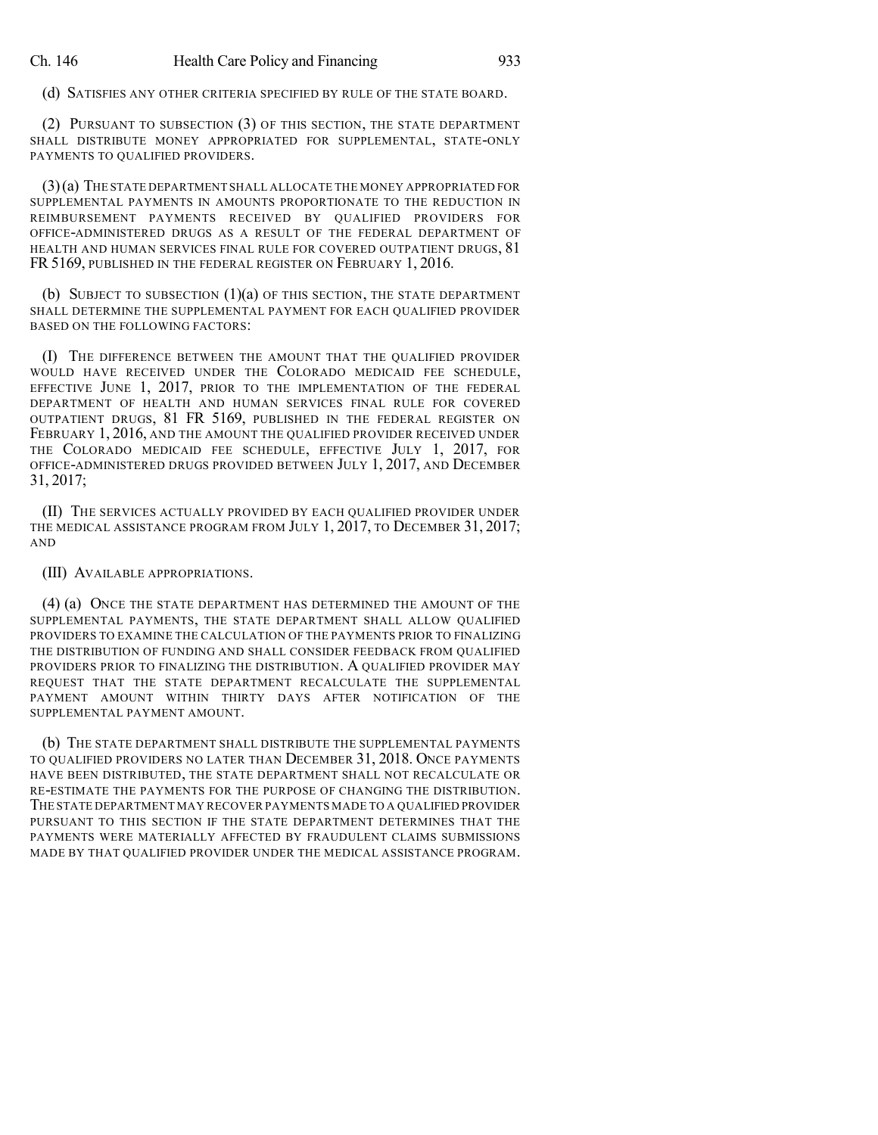(d) SATISFIES ANY OTHER CRITERIA SPECIFIED BY RULE OF THE STATE BOARD.

(2) PURSUANT TO SUBSECTION (3) OF THIS SECTION, THE STATE DEPARTMENT SHALL DISTRIBUTE MONEY APPROPRIATED FOR SUPPLEMENTAL, STATE-ONLY PAYMENTS TO QUALIFIED PROVIDERS.

(3)(a) THE STATE DEPARTMENT SHALL ALLOCATE THE MONEY APPROPRIATED FOR SUPPLEMENTAL PAYMENTS IN AMOUNTS PROPORTIONATE TO THE REDUCTION IN REIMBURSEMENT PAYMENTS RECEIVED BY QUALIFIED PROVIDERS FOR OFFICE-ADMINISTERED DRUGS AS A RESULT OF THE FEDERAL DEPARTMENT OF HEALTH AND HUMAN SERVICES FINAL RULE FOR COVERED OUTPATIENT DRUGS, 81 FR 5169, PUBLISHED IN THE FEDERAL REGISTER ON FEBRUARY 1, 2016.

(b) SUBJECT TO SUBSECTION (1)(a) OF THIS SECTION, THE STATE DEPARTMENT SHALL DETERMINE THE SUPPLEMENTAL PAYMENT FOR EACH QUALIFIED PROVIDER BASED ON THE FOLLOWING FACTORS:

(I) THE DIFFERENCE BETWEEN THE AMOUNT THAT THE QUALIFIED PROVIDER WOULD HAVE RECEIVED UNDER THE COLORADO MEDICAID FEE SCHEDULE, EFFECTIVE JUNE 1, 2017, PRIOR TO THE IMPLEMENTATION OF THE FEDERAL DEPARTMENT OF HEALTH AND HUMAN SERVICES FINAL RULE FOR COVERED OUTPATIENT DRUGS, 81 FR 5169, PUBLISHED IN THE FEDERAL REGISTER ON FEBRUARY 1, 2016, AND THE AMOUNT THE QUALIFIED PROVIDER RECEIVED UNDER THE COLORADO MEDICAID FEE SCHEDULE, EFFECTIVE JULY 1, 2017, FOR OFFICE-ADMINISTERED DRUGS PROVIDED BETWEEN JULY 1, 2017, AND DECEMBER 31, 2017;

(II) THE SERVICES ACTUALLY PROVIDED BY EACH QUALIFIED PROVIDER UNDER THE MEDICAL ASSISTANCE PROGRAM FROM JULY 1, 2017, TO DECEMBER 31, 2017; AND

(III) AVAILABLE APPROPRIATIONS.

(4) (a) ONCE THE STATE DEPARTMENT HAS DETERMINED THE AMOUNT OF THE SUPPLEMENTAL PAYMENTS, THE STATE DEPARTMENT SHALL ALLOW QUALIFIED PROVIDERS TO EXAMINE THE CALCULATION OF THE PAYMENTS PRIOR TO FINALIZING THE DISTRIBUTION OF FUNDING AND SHALL CONSIDER FEEDBACK FROM QUALIFIED PROVIDERS PRIOR TO FINALIZING THE DISTRIBUTION. A QUALIFIED PROVIDER MAY REQUEST THAT THE STATE DEPARTMENT RECALCULATE THE SUPPLEMENTAL PAYMENT AMOUNT WITHIN THIRTY DAYS AFTER NOTIFICATION OF THE SUPPLEMENTAL PAYMENT AMOUNT.

(b) THE STATE DEPARTMENT SHALL DISTRIBUTE THE SUPPLEMENTAL PAYMENTS TO QUALIFIED PROVIDERS NO LATER THAN DECEMBER 31, 2018. ONCE PAYMENTS HAVE BEEN DISTRIBUTED, THE STATE DEPARTMENT SHALL NOT RECALCULATE OR RE-ESTIMATE THE PAYMENTS FOR THE PURPOSE OF CHANGING THE DISTRIBUTION. THE STATE DEPARTMENT MAY RECOVER PAYMENTS MADE TO A QUALIFIED PROVIDER PURSUANT TO THIS SECTION IF THE STATE DEPARTMENT DETERMINES THAT THE PAYMENTS WERE MATERIALLY AFFECTED BY FRAUDULENT CLAIMS SUBMISSIONS MADE BY THAT QUALIFIED PROVIDER UNDER THE MEDICAL ASSISTANCE PROGRAM.